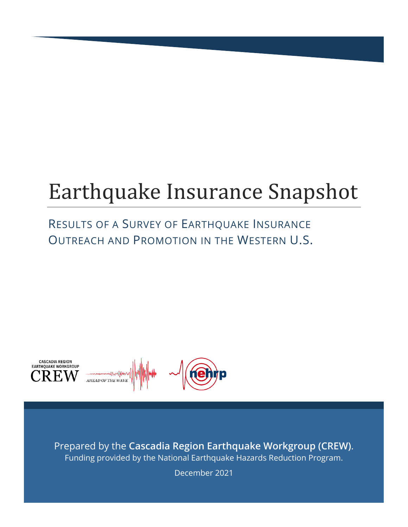# Earthquake Insurance Snapshot

## RESULTS OF A SURVEY OF EARTHQUAKE INSURANCE OUTREACH AND PROMOTION IN THE WESTERN U.S.



Prepared by the **Cascadia Region Earthquake Workgroup (CREW)**. Funding provided by the National Earthquake Hazards Reduction Program.

December 2021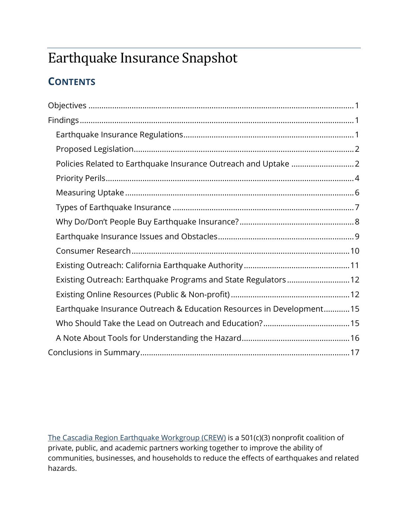## Earthquake Insurance Snapshot

## **CONTENTS**

| Existing Outreach: Earthquake Programs and State Regulators 12       |
|----------------------------------------------------------------------|
|                                                                      |
| Earthquake Insurance Outreach & Education Resources in Development15 |
|                                                                      |
|                                                                      |
|                                                                      |

[The Cascadia Region Earthquake Workgroup \(CREW\)](https://crew.org/) is a 501(c)(3) nonprofit coalition of private, public, and academic partners working together to improve the ability of communities, businesses, and households to reduce the effects of earthquakes and related hazards.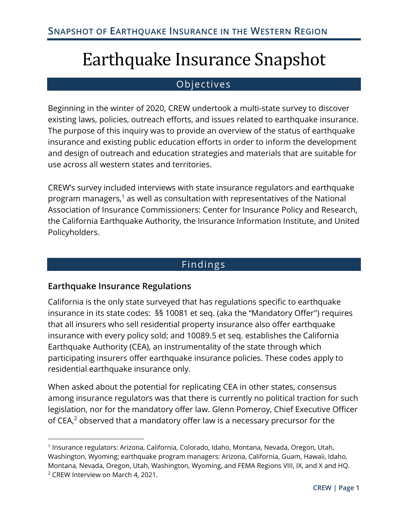## Earthquake Insurance Snapshot

#### Objectives

<span id="page-2-0"></span>Beginning in the winter of 2020, CREW undertook a multi-state survey to discover existing laws, policies, outreach efforts, and issues related to earthquake insurance. The purpose of this inquiry was to provide an overview of the status of earthquake insurance and existing public education efforts in order to inform the development and design of outreach and education strategies and materials that are suitable for use across all western states and territories.

CREW's survey included interviews with state insurance regulators and earthquake program managers, $1$  as well as consultation with representatives of the National Association of Insurance Commissioners: Center for Insurance Policy and Research, the California Earthquake Authority, the Insurance Information Institute, and United Policyholders.

#### Findings

#### <span id="page-2-2"></span><span id="page-2-1"></span>**Earthquake Insurance Regulations**

California is the only state surveyed that has regulations specific to earthquake insurance in its state codes: §§ 10081 et seq. (aka the "Mandatory Offer") requires that all insurers who sell residential property insurance also offer earthquake insurance with every policy sold; and 10089.5 et seq. establishes the California Earthquake Authority (CEA), an instrumentality of the state through which participating insurers offer earthquake insurance policies. These codes apply to residential earthquake insurance only.

When asked about the potential for replicating CEA in other states, consensus among insurance regulators was that there is currently no political traction for such legislation, nor for the mandatory offer law. Glenn Pomeroy, Chief Executive Officer of CEA, $<sup>2</sup>$  observed that a mandatory offer law is a necessary precursor for the</sup>

<sup>1</sup> Insurance regulators: Arizona, California, Colorado, Idaho, Montana, Nevada, Oregon, Utah, Washington, Wyoming; earthquake program managers: Arizona, California, Guam, Hawaii, Idaho, Montana, Nevada, Oregon, Utah, Washington, Wyoming, and FEMA Regions VIII, IX, and X and HQ. <sup>2</sup> CREW Interview on March 4, 2021.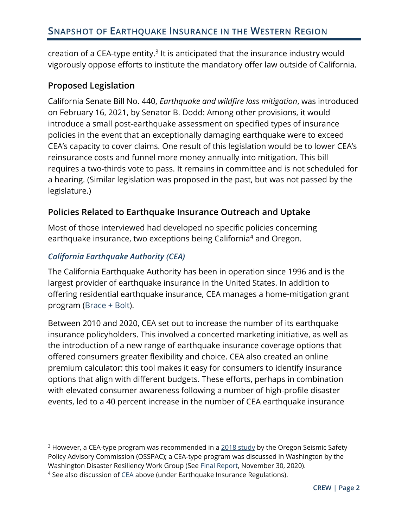creation of a CEA-type entity. $3$  It is anticipated that the insurance industry would vigorously oppose efforts to institute the mandatory offer law outside of California.

#### <span id="page-3-0"></span>**Proposed Legislation**

California Senate Bill No. 440, *Earthquake and wildfire loss mitigation*, was introduced on February 16, 2021, by Senator B. Dodd: Among other provisions, it would introduce a small post-earthquake assessment on specified types of insurance policies in the event that an exceptionally damaging earthquake were to exceed CEA's capacity to cover claims. One result of this legislation would be to lower CEA's reinsurance costs and funnel more money annually into mitigation. This bill requires a two-thirds vote to pass. It remains in committee and is not scheduled for a hearing. (Similar legislation was proposed in the past, but was not passed by the legislature.)

#### <span id="page-3-1"></span>**Policies Related to Earthquake Insurance Outreach and Uptake**

Most of those interviewed had developed no specific policies concerning earthquake insurance, two exceptions being California<sup>4</sup> and Oregon.

#### *California Earthquake Authority (CEA)*

The California Earthquake Authority has been in operation since 1996 and is the largest provider of earthquake insurance in the United States. In addition to offering residential earthquake insurance, CEA manages a home-mitigation grant program [\(Brace + Bolt\)](https://www.earthquakeauthority.com/Prepare-Your-House-Earthquake-Risk/Brace-and-Bolt-Grants).

Between 2010 and 2020, CEA set out to increase the number of its earthquake insurance policyholders. This involved a concerted marketing initiative, as well as the introduction of a new range of earthquake insurance coverage options that offered consumers greater flexibility and choice. CEA also created an online premium calculator: this tool makes it easy for consumers to identify insurance options that align with different budgets. These efforts, perhaps in combination with elevated consumer awareness following a number of high-profile disaster events, led to a 40 percent increase in the number of CEA earthquake insurance

 $3$  However, a CEA-type program was recommended in a  $2018$  study by the Oregon Seismic Safety Policy Advisory Commission (OSSPAC); a CEA-type program was discussed in Washington by the Washington Disaster Resiliency Work Group (See [Final Report,](https://www.insurance.wa.gov/sites/default/files/documents/washington-disaster-resiliency-work-group-final-report-november-2020.pdf) November 30, 2020).

<sup>4</sup> See also discussion of [CEA](https://www.earthquakeauthority.com/) above (under Earthquake Insurance Regulations).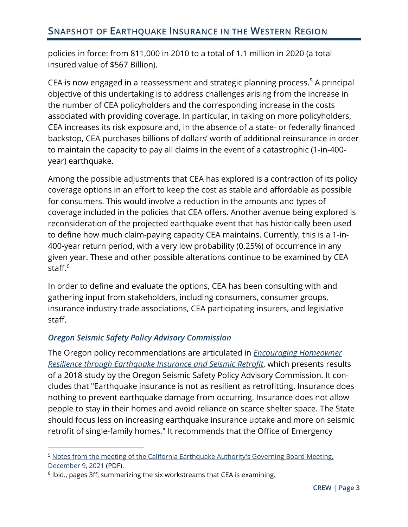policies in force: from 811,000 in 2010 to a total of 1.1 million in 2020 (a total insured value of \$567 Billion).

CEA is now engaged in a reassessment and strategic planning process.<sup>5</sup> A principal objective of this undertaking is to address challenges arising from the increase in the number of CEA policyholders and the corresponding increase in the costs associated with providing coverage. In particular, in taking on more policyholders, CEA increases its risk exposure and, in the absence of a state- or federally financed backstop, CEA purchases billions of dollars' worth of additional reinsurance in order to maintain the capacity to pay all claims in the event of a catastrophic (1-in-400 year) earthquake.

Among the possible adjustments that CEA has explored is a contraction of its policy coverage options in an effort to keep the cost as stable and affordable as possible for consumers. This would involve a reduction in the amounts and types of coverage included in the policies that CEA offers. Another avenue being explored is reconsideration of the projected earthquake event that has historically been used to define how much claim-paying capacity CEA maintains. Currently, this is a 1-in-400-year return period, with a very low probability (0.25%) of occurrence in any given year. These and other possible alterations continue to be examined by CEA staff.<sup>6</sup>

In order to define and evaluate the options, CEA has been consulting with and gathering input from stakeholders, including consumers, consumer groups, insurance industry trade associations, CEA participating insurers, and legislative staff.

#### *Oregon Seismic Safety Policy Advisory Commission*

The Oregon policy recommendations are articulated in *[Encouraging Homeowner](https://www.oregon.gov/oem/Documents/OSSPAC-18-01%20Insurance%20Final%20Report.pdf)  [Resilience through Earthquake Insurance and Seismic Retrofit](https://www.oregon.gov/oem/Documents/OSSPAC-18-01%20Insurance%20Final%20Report.pdf)*, which presents results of a 2018 study by the Oregon Seismic Safety Policy Advisory Commission. It concludes that "Earthquake insurance is not as resilient as retrofitting. Insurance does nothing to prevent earthquake damage from occurring. Insurance does not allow people to stay in their homes and avoid reliance on scarce shelter space. The State should focus less on increasing earthquake insurance uptake and more on seismic retrofit of single-family homes." It recommends that the Office of Emergency

<sup>&</sup>lt;sup>5</sup> Notes from the meeting of the California Earthquake Authority's Governing Board Meeting, [December 9, 2021](https://www.earthquakeauthority.com/EQA2/media/Meeting-Materials/Meeting-Materials-Governing-Board-Meeting-of-December-9-2021.pdf?ext=.pdf) (PDF).

 $6$  Ibid., pages 3ff, summarizing the six workstreams that CEA is examining.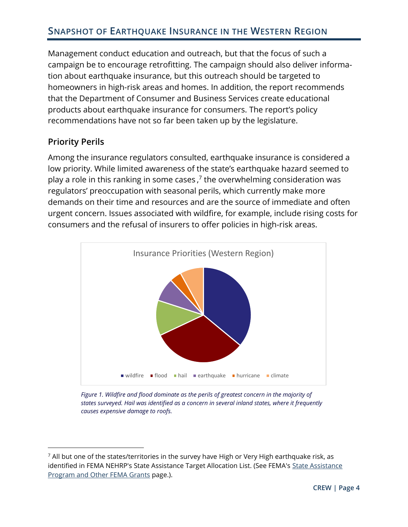Management conduct education and outreach, but that the focus of such a campaign be to encourage retrofitting. The campaign should also deliver information about earthquake insurance, but this outreach should be targeted to homeowners in high-risk areas and homes. In addition, the report recommends that the Department of Consumer and Business Services create educational products about earthquake insurance for consumers. The report's policy recommendations have not so far been taken up by the legislature.

#### <span id="page-5-0"></span>**Priority Perils**

Among the insurance regulators consulted, earthquake insurance is considered a low priority. While limited awareness of the state's earthquake hazard seemed to play a role in this ranking in some cases,<sup>7</sup> the overwhelming consideration was regulators' preoccupation with seasonal perils, which currently make more demands on their time and resources and are the source of immediate and often urgent concern. Issues associated with wildfire, for example, include rising costs for consumers and the refusal of insurers to offer policies in high-risk areas.



*Figure 1. Wildfire and flood dominate as the perils of greatest concern in the majority of states surveyed. Hail was identified as a concern in several inland states, where it frequently causes expensive damage to roofs.*

 $<sup>7</sup>$  All but one of the states/territories in the survey have High or Very High earthquake risk, as</sup> identified in FEMA NEHRP's State Assistance Target Allocation List. (See FEMA's [State Assistance](https://www.fema.gov/emergency-managers/risk-management/earthquake/state-assistance-program)  [Program and Other FEMA Grants](https://www.fema.gov/emergency-managers/risk-management/earthquake/state-assistance-program) page.).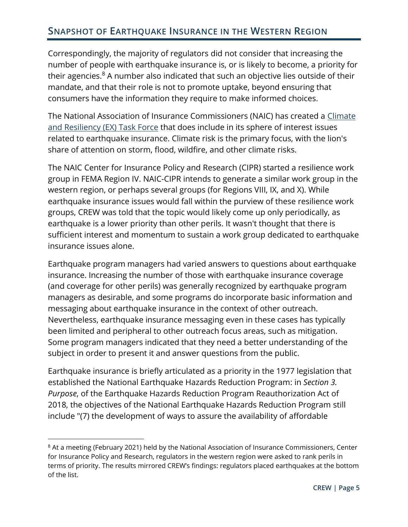Correspondingly, the majority of regulators did not consider that increasing the number of people with earthquake insurance is, or is likely to become, a priority for their agencies. $8$  A number also indicated that such an objective lies outside of their mandate, and that their role is not to promote uptake, beyond ensuring that consumers have the information they require to make informed choices.

The National Association of Insurance Commissioners (NAIC) has created a [Climate](https://content.naic.org/cmte_ex_climate_resiliency_tf.htm)  [and Resiliency \(EX\) Task Force](https://content.naic.org/cmte_ex_climate_resiliency_tf.htm) that does include in its sphere of interest issues related to earthquake insurance. Climate risk is the primary focus, with the lion's share of attention on storm, flood, wildfire, and other climate risks.

The NAIC Center for Insurance Policy and Research (CIPR) started a resilience work group in FEMA Region IV. NAIC-CIPR intends to generate a similar work group in the western region, or perhaps several groups (for Regions VIII, IX, and X). While earthquake insurance issues would fall within the purview of these resilience work groups, CREW was told that the topic would likely come up only periodically, as earthquake is a lower priority than other perils. It wasn't thought that there is sufficient interest and momentum to sustain a work group dedicated to earthquake insurance issues alone.

Earthquake program managers had varied answers to questions about earthquake insurance. Increasing the number of those with earthquake insurance coverage (and coverage for other perils) was generally recognized by earthquake program managers as desirable, and some programs do incorporate basic information and messaging about earthquake insurance in the context of other outreach. Nevertheless, earthquake insurance messaging even in these cases has typically been limited and peripheral to other outreach focus areas, such as mitigation. Some program managers indicated that they need a better understanding of the subject in order to present it and answer questions from the public.

Earthquake insurance is briefly articulated as a priority in the 1977 legislation that established the National Earthquake Hazards Reduction Program: in *Section 3. Purpose*, of the Earthquake Hazards Reduction Program Reauthorization Act of 2018, the objectives of the National Earthquake Hazards Reduction Program still include "(7) the development of ways to assure the availability of affordable

<sup>&</sup>lt;sup>8</sup> At a meeting (February 2021) held by the National Association of Insurance Commissioners, Center for Insurance Policy and Research, regulators in the western region were asked to rank perils in terms of priority. The results mirrored CREW's findings: regulators placed earthquakes at the bottom of the list.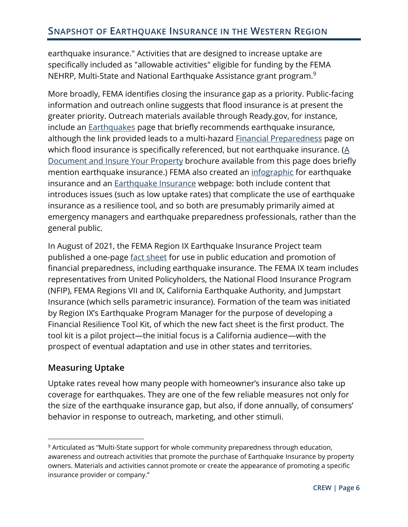earthquake insurance." Activities that are designed to increase uptake are specifically included as "allowable activities" eligible for funding by the FEMA NEHRP, Multi-State and National Earthquake Assistance grant program.<sup>9</sup>

More broadly, FEMA identifies closing the insurance gap as a priority. Public-facing information and outreach online suggests that flood insurance is at present the greater priority. Outreach materials available through Ready.gov, for instance, include an **Earthquakes** page that briefly recommends earthquake insurance, although the link provided leads to a multi-hazard **Financial Preparedness** page on which flood insurance is specifically referenced, but not earthquake insurance. ( $\underline{A}$ [Document and Insure Your Property](https://www.ready.gov/sites/default/files/2020-03/ready_document-and-insure-your-property.pdf) brochure available from this page does briefly mention earthquake insurance.) FEMA also created an [infographic](https://www.fema.gov/sites/default/files/2020-08/fema_earthquake-insurance-infographic.pdf) for earthquake insurance and an [Earthquake Insurance](https://www.fema.gov/emergency-managers/risk-management/earthquake/insurance) webpage: both include content that introduces issues (such as low uptake rates) that complicate the use of earthquake insurance as a resilience tool, and so both are presumably primarily aimed at emergency managers and earthquake preparedness professionals, rather than the general public.

In August of 2021, the FEMA Region IX Earthquake Insurance Project team published a one-page [fact sheet](https://www.fema.gov/sites/default/files/documents/fema_earthquakes-can-drain-your-bank-account-infographic.pdf) for use in public education and promotion of financial preparedness, including earthquake insurance. The FEMA IX team includes representatives from United Policyholders, the National Flood Insurance Program (NFIP), FEMA Regions VII and IX, California Earthquake Authority, and Jumpstart Insurance (which sells parametric insurance). Formation of the team was initiated by Region IX's Earthquake Program Manager for the purpose of developing a Financial Resilience Tool Kit, of which the new fact sheet is the first product. The tool kit is a pilot project—the initial focus is a California audience—with the prospect of eventual adaptation and use in other states and territories.

#### <span id="page-7-0"></span>**Measuring Uptake**

Uptake rates reveal how many people with homeowner's insurance also take up coverage for earthquakes. They are one of the few reliable measures not only for the size of the earthquake insurance gap, but also, if done annually, of consumers' behavior in response to outreach, marketing, and other stimuli.

<sup>&</sup>lt;sup>9</sup> Articulated as "Multi-State support for whole community preparedness through education, awareness and outreach activities that promote the purchase of Earthquake Insurance by property owners. Materials and activities cannot promote or create the appearance of promoting a specific insurance provider or company."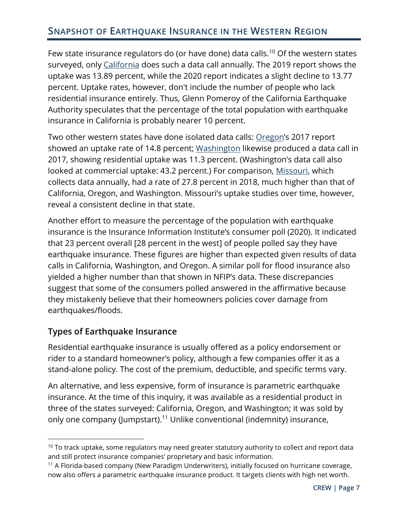Few state insurance regulators do (or have done) data calls.<sup>10</sup> Of the western states surveyed, only [California](http://www.insurance.ca.gov/0400-news/0200-studies-reports/0300-earthquake-study/index.cfm) does such a data call annually. The 2019 report shows the uptake was 13.89 percent, while the 2020 report indicates a slight decline to 13.77 percent. Uptake rates, however, don't include the number of people who lack residential insurance entirely. Thus, Glenn Pomeroy of the California Earthquake Authority speculates that the percentage of the total population with earthquake insurance in California is probably nearer 10 percent.

Two other western states have done isolated data calls: [Oregon](https://dfr.oregon.gov/business/reg/reports-data/Documents/2017-DFR-earthquake-datacall.pdf)'s 2017 report showed an uptake rate of 14.8 percent; [Washington](https://www.insurance.wa.gov/sites/default/files/documents/earthquake-data-call-report.pdf) likewise produced a data call in 2017, showing residential uptake was 11.3 percent. (Washington's data call also looked at commercial uptake: 43.2 percent.) For comparison, [Missouri,](https://insurance.mo.gov/earthquake/documents/EarthquakeInsuranceMarketsInMissouriReport20197-8-2019_000.pdf) which collects data annually, had a rate of 27.8 percent in 2018, much higher than that of California, Oregon, and Washington. Missouri's uptake studies over time, however, reveal a consistent decline in that state.

Another effort to measure the percentage of the population with earthquake insurance is the Insurance Information Institute's consumer poll (2020). It indicated that 23 percent overall [28 percent in the west] of people polled say they have earthquake insurance. These figures are higher than expected given results of data calls in California, Washington, and Oregon. A similar poll for flood insurance also yielded a higher number than that shown in NFIP's data. These discrepancies suggest that some of the consumers polled answered in the affirmative because they mistakenly believe that their homeowners policies cover damage from earthquakes/floods.

#### <span id="page-8-0"></span>**Types of Earthquake Insurance**

Residential earthquake insurance is usually offered as a policy endorsement or rider to a standard homeowner's policy, although a few companies offer it as a stand-alone policy. The cost of the premium, deductible, and specific terms vary.

An alternative, and less expensive, form of insurance is parametric earthquake insurance. At the time of this inquiry, it was available as a residential product in three of the states surveyed: California, Oregon, and Washington; it was sold by only one company (Jumpstart).<sup>11</sup> Unlike conventional (indemnity) insurance,

 $10$  To track uptake, some regulators may need greater statutory authority to collect and report data and still protect insurance companies' proprietary and basic information.

<sup>&</sup>lt;sup>11</sup> A Florida-based company (New Paradigm Underwriters), initially focused on hurricane coverage, now also offers a parametric earthquake insurance product. It targets clients with high net worth.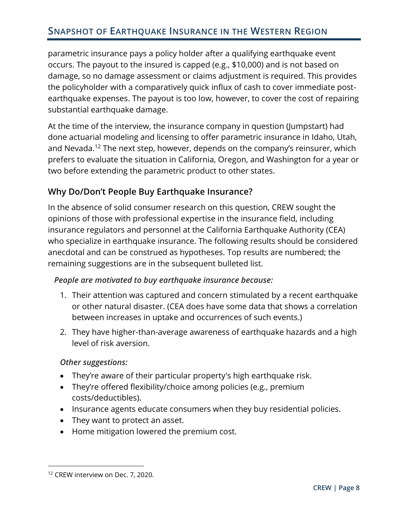parametric insurance pays a policy holder after a qualifying earthquake event occurs. The payout to the insured is capped (e.g., \$10,000) and is not based on damage, so no damage assessment or claims adjustment is required. This provides the policyholder with a comparatively quick influx of cash to cover immediate postearthquake expenses. The payout is too low, however, to cover the cost of repairing substantial earthquake damage.

At the time of the interview, the insurance company in question (Jumpstart) had done actuarial modeling and licensing to offer parametric insurance in Idaho, Utah, and Nevada.<sup>12</sup> The next step, however, depends on the company's reinsurer, which prefers to evaluate the situation in California, Oregon, and Washington for a year or two before extending the parametric product to other states.

#### <span id="page-9-0"></span>**Why Do/Don't People Buy Earthquake Insurance?**

In the absence of solid consumer research on this question, CREW sought the opinions of those with professional expertise in the insurance field, including insurance regulators and personnel at the California Earthquake Authority (CEA) who specialize in earthquake insurance. The following results should be considered anecdotal and can be construed as hypotheses. Top results are numbered; the remaining suggestions are in the subsequent bulleted list.

#### *People are motivated to buy earthquake insurance because:*

- 1. Their attention was captured and concern stimulated by a recent earthquake or other natural disaster. (CEA does have some data that shows a correlation between increases in uptake and occurrences of such events.)
- 2. They have higher-than-average awareness of earthquake hazards and a high level of risk aversion.

#### *Other suggestions:*

- They're aware of their particular property's high earthquake risk.
- They're offered flexibility/choice among policies (e.g., premium costs/deductibles).
- Insurance agents educate consumers when they buy residential policies.
- They want to protect an asset.
- Home mitigation lowered the premium cost.

<sup>&</sup>lt;sup>12</sup> CREW interview on Dec. 7, 2020.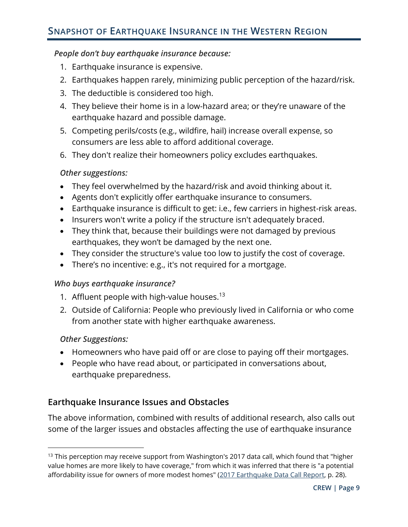#### *People don't buy earthquake insurance because:*

- 1. Earthquake insurance is expensive.
- 2. Earthquakes happen rarely, minimizing public perception of the hazard/risk.
- 3. The deductible is considered too high.
- 4. They believe their home is in a low-hazard area; or they're unaware of the earthquake hazard and possible damage.
- 5. Competing perils/costs (e.g., wildfire, hail) increase overall expense, so consumers are less able to afford additional coverage.
- 6. They don't realize their homeowners policy excludes earthquakes.

#### *Other suggestions:*

- They feel overwhelmed by the hazard/risk and avoid thinking about it.
- Agents don't explicitly offer earthquake insurance to consumers.
- Earthquake insurance is difficult to get: i.e., few carriers in highest-risk areas.
- Insurers won't write a policy if the structure isn't adequately braced.
- They think that, because their buildings were not damaged by previous earthquakes, they won't be damaged by the next one.
- They consider the structure's value too low to justify the cost of coverage.
- There's no incentive: e.g., it's not required for a mortgage.

#### *Who buys earthquake insurance?*

- 1. Affluent people with high-value houses.<sup>13</sup>
- 2. Outside of California: People who previously lived in California or who come from another state with higher earthquake awareness.

#### *Other Suggestions:*

- Homeowners who have paid off or are close to paying off their mortgages.
- People who have read about, or participated in conversations about, earthquake preparedness.

#### <span id="page-10-0"></span>**Earthquake Insurance Issues and Obstacles**

The above information, combined with results of additional research, also calls out some of the larger issues and obstacles affecting the use of earthquake insurance

<sup>&</sup>lt;sup>13</sup> This perception may receive support from Washington's 2017 data call, which found that "higher value homes are more likely to have coverage," from which it was inferred that there is "a potential affordability issue for owners of more modest homes" [\(2017 Earthquake Data Call Report,](https://www.insurance.wa.gov/sites/default/files/documents/earthquake-data-call-report.pdf) p. 28).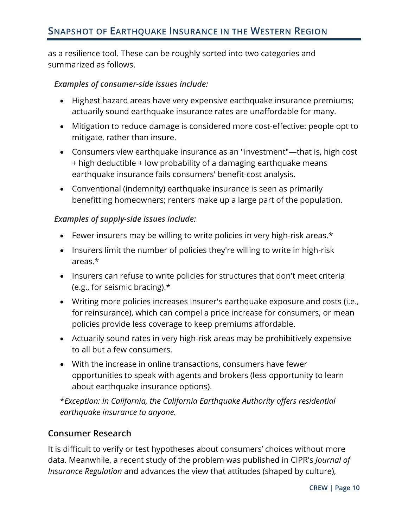as a resilience tool. These can be roughly sorted into two categories and summarized as follows.

#### *Examples of consumer-side issues include:*

- Highest hazard areas have very expensive earthquake insurance premiums; actuarily sound earthquake insurance rates are unaffordable for many.
- Mitigation to reduce damage is considered more cost-effective: people opt to mitigate, rather than insure.
- Consumers view earthquake insurance as an "investment"—that is, high cost + high deductible + low probability of a damaging earthquake means earthquake insurance fails consumers' benefit-cost analysis.
- Conventional (indemnity) earthquake insurance is seen as primarily benefitting homeowners; renters make up a large part of the population.

#### *Examples of supply-side issues include:*

- Fewer insurers may be willing to write policies in very high-risk areas.\*
- Insurers limit the number of policies they're willing to write in high-risk areas.\*
- Insurers can refuse to write policies for structures that don't meet criteria (e.g., for seismic bracing).\*
- Writing more policies increases insurer's earthquake exposure and costs (i.e., for reinsurance), which can compel a price increase for consumers, or mean policies provide less coverage to keep premiums affordable.
- Actuarily sound rates in very high-risk areas may be prohibitively expensive to all but a few consumers.
- With the increase in online transactions, consumers have fewer opportunities to speak with agents and brokers (less opportunity to learn about earthquake insurance options).

\**Exception: In California, the California Earthquake Authority offers residential earthquake insurance to anyone.*

#### <span id="page-11-0"></span>**Consumer Research**

It is difficult to verify or test hypotheses about consumers' choices without more data. Meanwhile, a recent study of the problem was published in CIPR's *Journal of Insurance Regulation* and advances the view that attitudes (shaped by culture),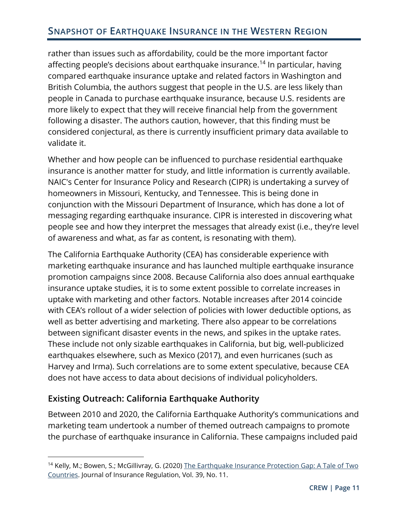rather than issues such as affordability, could be the more important factor affecting people's decisions about earthquake insurance.<sup>14</sup> In particular, having compared earthquake insurance uptake and related factors in Washington and British Columbia, the authors suggest that people in the U.S. are less likely than people in Canada to purchase earthquake insurance, because U.S. residents are more likely to expect that they will receive financial help from the government following a disaster. The authors caution, however, that this finding must be considered conjectural, as there is currently insufficient primary data available to validate it.

Whether and how people can be influenced to purchase residential earthquake insurance is another matter for study, and little information is currently available. NAIC's Center for Insurance Policy and Research (CIPR) is undertaking a survey of homeowners in Missouri, Kentucky, and Tennessee. This is being done in conjunction with the Missouri Department of Insurance, which has done a lot of messaging regarding earthquake insurance. CIPR is interested in discovering what people see and how they interpret the messages that already exist (i.e., they're level of awareness and what, as far as content, is resonating with them).

The California Earthquake Authority (CEA) has considerable experience with marketing earthquake insurance and has launched multiple earthquake insurance promotion campaigns since 2008. Because California also does annual earthquake insurance uptake studies, it is to some extent possible to correlate increases in uptake with marketing and other factors. Notable increases after 2014 coincide with CEA's rollout of a wider selection of policies with lower deductible options, as well as better advertising and marketing. There also appear to be correlations between significant disaster events in the news, and spikes in the uptake rates. These include not only sizable earthquakes in California, but big, well-publicized earthquakes elsewhere, such as Mexico (2017), and even hurricanes (such as Harvey and Irma). Such correlations are to some extent speculative, because CEA does not have access to data about decisions of individual policyholders.

#### <span id="page-12-0"></span>**Existing Outreach: California Earthquake Authority**

Between 2010 and 2020, the California Earthquake Authority's communications and marketing team undertook a number of themed outreach campaigns to promote the purchase of earthquake insurance in California. These campaigns included paid

<sup>&</sup>lt;sup>14</sup> Kelly, M.; Bowen, S.; McGillivray, G. (2020) [The Earthquake Insurance Protection Gap: A Tale of](https://content.naic.org/sites/default/files/jir-za-39-11-el-earthquake-protection.pdf) Two [Countries.](https://content.naic.org/sites/default/files/jir-za-39-11-el-earthquake-protection.pdf) Journal of Insurance Regulation, Vol. 39, No. 11.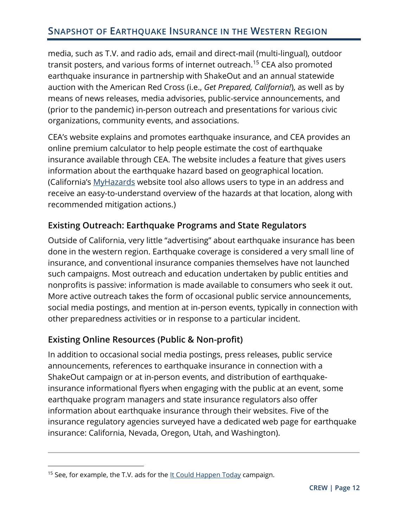media, such as T.V. and radio ads, email and direct-mail (multi-lingual), outdoor transit posters, and various forms of internet outreach.<sup>15</sup> CEA also promoted earthquake insurance in partnership with ShakeOut and an annual statewide auction with the American Red Cross (i.e., *Get Prepared, California!*), as well as by means of news releases, media advisories, public-service announcements, and (prior to the pandemic) in-person outreach and presentations for various civic organizations, community events, and associations.

CEA's website explains and promotes earthquake insurance, and CEA provides an online premium calculator to help people estimate the cost of earthquake insurance available through CEA. The website includes a feature that gives users information about the earthquake hazard based on geographical location. (California's [MyHazards](https://myhazards.caloes.ca.gov/) website tool also allows users to type in an address and receive an easy-to-understand overview of the hazards at that location, along with recommended mitigation actions.)

#### <span id="page-13-0"></span>**Existing Outreach: Earthquake Programs and State Regulators**

Outside of California, very little "advertising" about earthquake insurance has been done in the western region. Earthquake coverage is considered a very small line of insurance, and conventional insurance companies themselves have not launched such campaigns. Most outreach and education undertaken by public entities and nonprofits is passive: information is made available to consumers who seek it out. More active outreach takes the form of occasional public service announcements, social media postings, and mention at in-person events, typically in connection with other preparedness activities or in response to a particular incident.

#### <span id="page-13-1"></span>**Existing Online Resources (Public & Non-profit)**

In addition to occasional social media postings, press releases, public service announcements, references to earthquake insurance in connection with a ShakeOut campaign or at in-person events, and distribution of earthquakeinsurance informational flyers when engaging with the public at an event, some earthquake program managers and state insurance regulators also offer information about earthquake insurance through their websites. Five of the insurance regulatory agencies surveyed have a dedicated web page for earthquake insurance: California, Nevada, Oregon, Utah, and Washington).

<sup>&</sup>lt;sup>15</sup> See, for example, the T.V. ads for the  $It$  Could Happen Today campaign.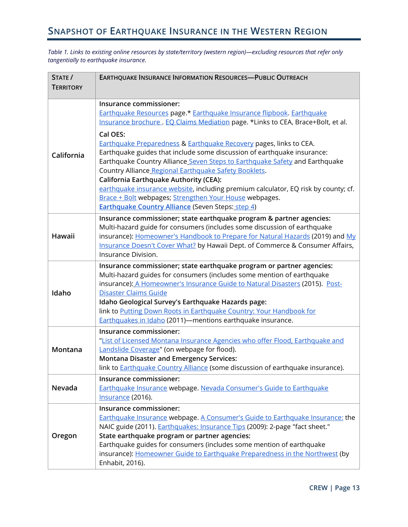*Table 1. Links to existing online resources by state/territory (western region)—excluding resources that refer only tangentially to earthquake insurance.*

| STATE /          | <b>EARTHQUAKE INSURANCE INFORMATION RESOURCES-PUBLIC OUTREACH</b>                                                                             |  |  |
|------------------|-----------------------------------------------------------------------------------------------------------------------------------------------|--|--|
| <b>TERRITORY</b> |                                                                                                                                               |  |  |
|                  | Insurance commissioner:                                                                                                                       |  |  |
| California       | Earthquake Resources page.* Earthquake Insurance flipbook. Earthquake                                                                         |  |  |
|                  | Insurance brochure. EQ Claims Mediation page. *Links to CEA, Brace+Bolt, et al.                                                               |  |  |
|                  |                                                                                                                                               |  |  |
|                  | Cal OES:                                                                                                                                      |  |  |
|                  | Earthquake Preparedness & Earthquake Recovery pages, links to CEA.<br>Earthquake guides that include some discussion of earthquake insurance: |  |  |
|                  | Earthquake Country Alliance Seven Steps to Earthquake Safety and Earthquake                                                                   |  |  |
|                  | Country Alliance Regional Earthquake Safety Booklets.                                                                                         |  |  |
|                  | California Earthquake Authority (CEA):                                                                                                        |  |  |
|                  | earthquake insurance website, including premium calculator, EQ risk by county; cf.                                                            |  |  |
|                  | Brace + Bolt webpages; Strengthen Your House webpages.                                                                                        |  |  |
|                  | <b>Earthquake Country Alliance</b> (Seven Steps: step 4)                                                                                      |  |  |
|                  | Insurance commissioner; state earthquake program & partner agencies:                                                                          |  |  |
|                  | Multi-hazard guide for consumers (includes some discussion of earthquake                                                                      |  |  |
| Hawaii           | insurance): Homeowner's Handbook to Prepare for Natural Hazards (2019) and My                                                                 |  |  |
|                  | Insurance Doesn't Cover What? by Hawaii Dept. of Commerce & Consumer Affairs,                                                                 |  |  |
|                  | Insurance Division.                                                                                                                           |  |  |
|                  | Insurance commissioner; state earthquake program or partner agencies:                                                                         |  |  |
|                  | Multi-hazard guides for consumers (includes some mention of earthquake                                                                        |  |  |
|                  | insurance): A Homeowner's Insurance Guide to Natural Disasters (2015). Post-                                                                  |  |  |
| Idaho            | Disaster Claims Guide<br>Idaho Geological Survey's Earthquake Hazards page:                                                                   |  |  |
|                  | link to Putting Down Roots in Earthquake Country: Your Handbook for                                                                           |  |  |
|                  | Earthquakes in Idaho (2011)-mentions earthquake insurance.                                                                                    |  |  |
| Montana          | Insurance commissioner:                                                                                                                       |  |  |
|                  | "List of Licensed Montana Insurance Agencies who offer Flood, Earthquake and                                                                  |  |  |
|                  | Landslide Coverage" (on webpage for flood).                                                                                                   |  |  |
|                  | <b>Montana Disaster and Emergency Services:</b>                                                                                               |  |  |
|                  | link to <b>Earthquake Country Alliance</b> (some discussion of earthquake insurance).                                                         |  |  |
| Nevada           | Insurance commissioner:                                                                                                                       |  |  |
|                  | Earthquake Insurance webpage. Nevada Consumer's Guide to Earthquake                                                                           |  |  |
|                  | Insurance (2016).                                                                                                                             |  |  |
|                  | Insurance commissioner:                                                                                                                       |  |  |
| Oregon           | <b>Earthquake Insurance webpage. A Consumer's Guide to Earthquake Insurance: the</b>                                                          |  |  |
|                  | NAIC guide (2011). Earthquakes: Insurance Tips (2009): 2-page "fact sheet."                                                                   |  |  |
|                  | State earthquake program or partner agencies:                                                                                                 |  |  |
|                  | Earthquake guides for consumers (includes some mention of earthquake                                                                          |  |  |
|                  | insurance): Homeowner Guide to Earthquake Preparedness in the Northwest (by                                                                   |  |  |
|                  | Enhabit, 2016).                                                                                                                               |  |  |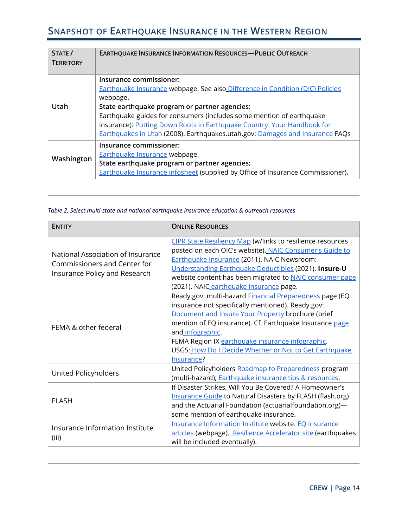| STATE /<br><b>TERRITORY</b> | <b>EARTHQUAKE INSURANCE INFORMATION RESOURCES-PUBLIC OUTREACH</b>                                                                                                                                                                                                                                                                                                                                        |  |
|-----------------------------|----------------------------------------------------------------------------------------------------------------------------------------------------------------------------------------------------------------------------------------------------------------------------------------------------------------------------------------------------------------------------------------------------------|--|
| Utah                        | Insurance commissioner:<br>Earthquake Insurance webpage. See also Difference in Condition (DIC) Policies<br>webpage.<br>State earthquake program or partner agencies:<br>Earthquake guides for consumers (includes some mention of earthquake<br>insurance): Putting Down Roots in Earthquake Country: Your Handbook for<br>Earthquakes in Utah (2008). Earthquakes.utah.gov: Damages and Insurance FAQs |  |
| Washington                  | Insurance commissioner:<br>Earthquake Insurance webpage.<br>State earthquake program or partner agencies:<br>Earthquake Insurance infosheet (supplied by Office of Insurance Commissioner).                                                                                                                                                                                                              |  |

*Table 2. Select multi-state and national earthquake insurance education & outreach resources*

| <b>ENTITY</b>                                                                                      | <b>ONLINE RESOURCES</b>                                        |
|----------------------------------------------------------------------------------------------------|----------------------------------------------------------------|
|                                                                                                    | CIPR State Resiliency Map (w/links to resilience resources     |
| National Association of Insurance<br>Commissioners and Center for<br>Insurance Policy and Research | posted on each OIC's website). NAIC Consumer's Guide to        |
|                                                                                                    | <b>Earthquake Insurance (2011). NAIC Newsroom:</b>             |
|                                                                                                    | Understanding Earthquake Deductibles (2021). Insure-U          |
|                                                                                                    | website content has been migrated to NAIC consumer page        |
|                                                                                                    | (2021). NAIC earthquake insurance page.                        |
|                                                                                                    | Ready.gov: multi-hazard <b>Financial Preparedness</b> page (EQ |
| FEMA & other federal                                                                               | insurance not specifically mentioned). Ready.gov:              |
|                                                                                                    | Document and Insure Your Property brochure (brief              |
|                                                                                                    | mention of EQ insurance). Cf. Earthquake Insurance page        |
|                                                                                                    | and infographic.                                               |
|                                                                                                    | FEMA Region IX earthquake insurance infographic.               |
|                                                                                                    | USGS: How Do I Decide Whether or Not to Get Earthquake         |
|                                                                                                    | Insurance?                                                     |
| United Policyholders                                                                               | United Policyholders Roadmap to Preparedness program           |
|                                                                                                    | (multi-hazard); Earthquake insurance tips & resources.         |
|                                                                                                    | If Disaster Strikes, Will You Be Covered? A Homeowner's        |
| <b>FLASH</b>                                                                                       | Insurance Guide to Natural Disasters by FLASH (flash.org)      |
|                                                                                                    | and the Actuarial Foundation (actuarialfoundation.org)-        |
|                                                                                                    | some mention of earthquake insurance.                          |
| Insurance Information Institute                                                                    | Insurance Information Institute website. EQ insurance          |
|                                                                                                    | articles (webpage). Resilience Accelerator site (earthquakes   |
| (iii)                                                                                              | will be included eventually).                                  |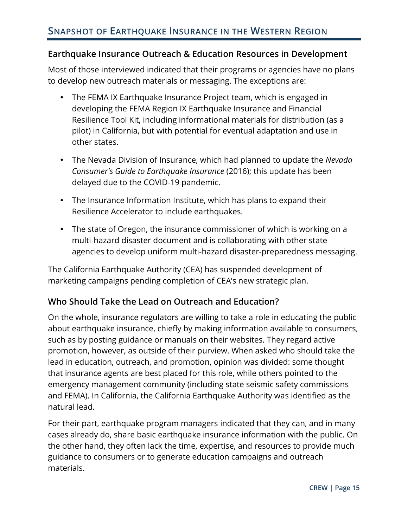#### <span id="page-16-0"></span>**Earthquake Insurance Outreach & Education Resources in Development**

Most of those interviewed indicated that their programs or agencies have no plans to develop new outreach materials or messaging. The exceptions are:

- The FEMA IX Earthquake Insurance Project team, which is engaged in developing the FEMA Region IX Earthquake Insurance and Financial Resilience Tool Kit, including informational materials for distribution (as a pilot) in California, but with potential for eventual adaptation and use in other states.
- The Nevada Division of Insurance, which had planned to update the *Nevada Consumer's Guide to Earthquake Insurance* (2016); this update has been delayed due to the COVID-19 pandemic.
- The Insurance Information Institute, which has plans to expand their Resilience Accelerator to include earthquakes.
- The state of Oregon, the insurance commissioner of which is working on a multi-hazard disaster document and is collaborating with other state agencies to develop uniform multi-hazard disaster-preparedness messaging.

The California Earthquake Authority (CEA) has suspended development of marketing campaigns pending completion of CEA's new strategic plan.

#### <span id="page-16-1"></span>**Who Should Take the Lead on Outreach and Education?**

On the whole, insurance regulators are willing to take a role in educating the public about earthquake insurance, chiefly by making information available to consumers, such as by posting guidance or manuals on their websites. They regard active promotion, however, as outside of their purview. When asked who should take the lead in education, outreach, and promotion, opinion was divided: some thought that insurance agents are best placed for this role, while others pointed to the emergency management community (including state seismic safety commissions and FEMA). In California, the California Earthquake Authority was identified as the natural lead.

For their part, earthquake program managers indicated that they can, and in many cases already do, share basic earthquake insurance information with the public. On the other hand, they often lack the time, expertise, and resources to provide much guidance to consumers or to generate education campaigns and outreach materials.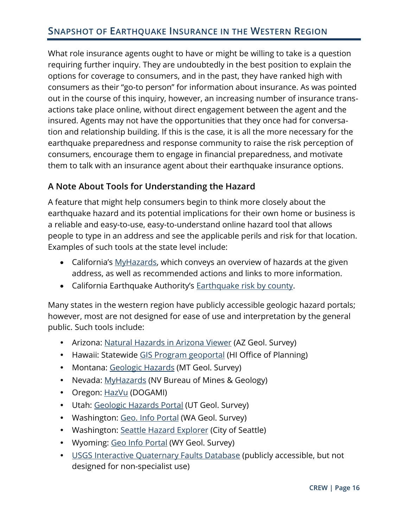What role insurance agents ought to have or might be willing to take is a question requiring further inquiry. They are undoubtedly in the best position to explain the options for coverage to consumers, and in the past, they have ranked high with consumers as their "go-to person" for information about insurance. As was pointed out in the course of this inquiry, however, an increasing number of insurance transactions take place online, without direct engagement between the agent and the insured. Agents may not have the opportunities that they once had for conversation and relationship building. If this is the case, it is all the more necessary for the earthquake preparedness and response community to raise the risk perception of consumers, encourage them to engage in financial preparedness, and motivate them to talk with an insurance agent about their earthquake insurance options.

#### <span id="page-17-0"></span>**A Note About Tools for Understanding the Hazard**

A feature that might help consumers begin to think more closely about the earthquake hazard and its potential implications for their own home or business is a reliable and easy-to-use, easy-to-understand online hazard tool that allows people to type in an address and see the applicable perils and risk for that location. Examples of such tools at the state level include:

- California's [MyHazards](https://myhazards.caloes.ca.gov/), which conveys an overview of hazards at the given address, as well as recommended actions and links to more information.
- California Earthquake Authority's [Earthquake risk by county.](https://www.earthquakeauthority.com/California-Earthquake-Risk/Faults-By-County)

Many states in the western region have publicly accessible geologic hazard portals; however, most are not designed for ease of use and interpretation by the general public. Such tools include:

- Arizona: [Natural Hazards in Arizona Viewer](https://www.arcgis.com/apps/webappviewer/index.html?id=98729f76e4644f1093d1c2cd6dabb584) (AZ Geol. Survey)
- Hawaii: Statewide [GIS Program geoportal](https://geoportal.hawaii.gov/) (HI Office of Planning)
- Montan[a:](https://www.mbmg.mtech.edu/MontanaGeology/geohazards/main.asp) [Geologic Hazards](https://www.mbmg.mtech.edu/MontanaGeology/geohazards/main.asp) (MT Geol. Survey)
- Nevad[a:](https://gisweb.unr.edu/MyHAZARDS/) [MyHazards](https://gisweb.unr.edu/MyHAZARDS/) (NV Bureau of Mines & Geology)
- Oregon: [HazVu](https://www.oregongeology.org/hazvu/) (DOGAMI)
- Uta[h:](https://geology.utah.gov/apps/hazards/) [Geologic Hazards Portal](https://geology.utah.gov/apps/hazards/) (UT Geol. Survey)
- Washing[ton: Geo. Info Portal](https://www.dnr.wa.gov/geologyportal) (WA Geol. Survey)
- Washing[ton: Seattle Hazard Explorer](https://www.arcgis.com/apps/MapSeries/index.html?appid=0489a95dad4e42148dbef571076f9b5b) (City of Seattle)
- Wyom[ing: Geo Info Portal](https://wsgs.maps.arcgis.com/apps/webappviewer/index.html?id=916afcace2dc4164afa04a9f525bc37e) (WY Geol. Survey)
- [USGS Interactive Quaternary Faults Database](https://usgs.maps.arcgis.com/apps/webappviewer/index.html?id=5a6038b3a1684561a9b0aadf88412fcf) (publicly accessible, but not designed for non-specialist use)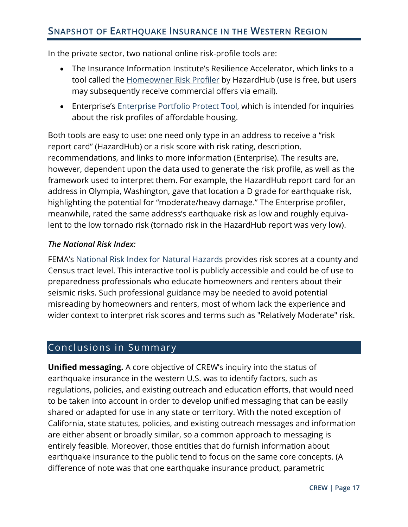In the private sector, two national online risk-profile tools are:

- The Insurance Information Institute's Resilience Accelerator, which links to a tool called the [Homeowner Risk Profiler](https://resilience.iii.org/) by HazardHub (use is free, but users may subsequently receive commercial offers via email).
- Enterprise's [Enterprise Portfolio Protect Tool,](https://www.enterprisecommunity.org/solutions-and-innovation/disaster-recovery-and-rebuilding/portfolio-protect) which is intended for inquiries about the risk profiles of affordable housing.

Both tools are easy to use: one need only type in an address to receive a "risk report card" (HazardHub) or a risk score with risk rating, description, recommendations, and links to more information (Enterprise). The results are, however, dependent upon the data used to generate the risk profile, as well as the framework used to interpret them. For example, the HazardHub report card for an address in Olympia, Washington, gave that location a D grade for earthquake risk, highlighting the potential for "moderate/heavy damage." The Enterprise profiler, meanwhile, rated the same address's earthquake risk as low and roughly equivalent to the low tornado risk (tornado risk in the HazardHub report was very low).

#### *The National Risk Index:*

FEMA's [National Risk Index for Natural Hazards](https://www.fema.gov/flood-maps/products-tools/national-risk-index) provides risk scores at a county and Census tract level. This interactive tool is publicly accessible and could be of use to preparedness professionals who educate homeowners and renters about their seismic risks. Such professional guidance may be needed to avoid potential misreading by homeowners and renters, most of whom lack the experience and wider context to interpret risk scores and terms such as "Relatively Moderate" risk.

### <span id="page-18-0"></span>Conclusions in Summary

**Unified messaging.** A core objective of CREW's inquiry into the status of earthquake insurance in the western U.S. was to identify factors, such as regulations, policies, and existing outreach and education efforts, that would need to be taken into account in order to develop unified messaging that can be easily shared or adapted for use in any state or territory. With the noted exception of California, state statutes, policies, and existing outreach messages and information are either absent or broadly similar, so a common approach to messaging is entirely feasible. Moreover, those entities that do furnish information about earthquake insurance to the public tend to focus on the same core concepts. (A difference of note was that one earthquake insurance product, parametric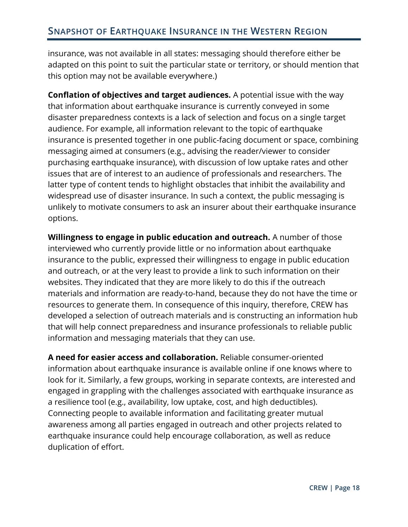insurance, was not available in all states: messaging should therefore either be adapted on this point to suit the particular state or territory, or should mention that this option may not be available everywhere.)

**Conflation of objectives and target audiences.** A potential issue with the way that information about earthquake insurance is currently conveyed in some disaster preparedness contexts is a lack of selection and focus on a single target audience. For example, all information relevant to the topic of earthquake insurance is presented together in one public-facing document or space, combining messaging aimed at consumers (e.g., advising the reader/viewer to consider purchasing earthquake insurance), with discussion of low uptake rates and other issues that are of interest to an audience of professionals and researchers. The latter type of content tends to highlight obstacles that inhibit the availability and widespread use of disaster insurance. In such a context, the public messaging is unlikely to motivate consumers to ask an insurer about their earthquake insurance options.

**Willingness to engage in public education and outreach.** A number of those interviewed who currently provide little or no information about earthquake insurance to the public, expressed their willingness to engage in public education and outreach, or at the very least to provide a link to such information on their websites. They indicated that they are more likely to do this if the outreach materials and information are ready-to-hand, because they do not have the time or resources to generate them. In consequence of this inquiry, therefore, CREW has developed a selection of outreach materials and is constructing an information hub that will help connect preparedness and insurance professionals to reliable public information and messaging materials that they can use.

**A need for easier access and collaboration.** Reliable consumer-oriented information about earthquake insurance is available online if one knows where to look for it. Similarly, a few groups, working in separate contexts, are interested and engaged in grappling with the challenges associated with earthquake insurance as a resilience tool (e.g., availability, low uptake, cost, and high deductibles). Connecting people to available information and facilitating greater mutual awareness among all parties engaged in outreach and other projects related to earthquake insurance could help encourage collaboration, as well as reduce duplication of effort.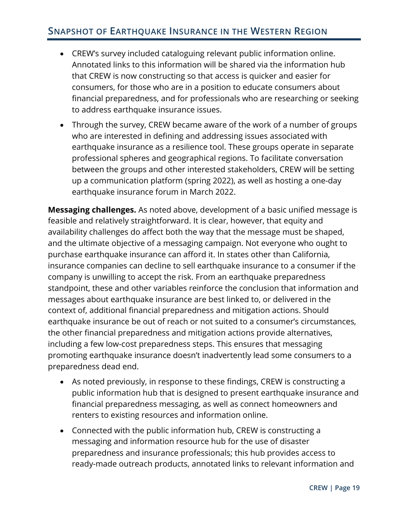- CREW's survey included cataloguing relevant public information online. Annotated links to this information will be shared via the information hub that CREW is now constructing so that access is quicker and easier for consumers, for those who are in a position to educate consumers about financial preparedness, and for professionals who are researching or seeking to address earthquake insurance issues.
- Through the survey, CREW became aware of the work of a number of groups who are interested in defining and addressing issues associated with earthquake insurance as a resilience tool. These groups operate in separate professional spheres and geographical regions. To facilitate conversation between the groups and other interested stakeholders, CREW will be setting up a communication platform (spring 2022), as well as hosting a one-day earthquake insurance forum in March 2022.

**Messaging challenges.** As noted above, development of a basic unified message is feasible and relatively straightforward. It is clear, however, that equity and availability challenges do affect both the way that the message must be shaped, and the ultimate objective of a messaging campaign. Not everyone who ought to purchase earthquake insurance can afford it. In states other than California, insurance companies can decline to sell earthquake insurance to a consumer if the company is unwilling to accept the risk. From an earthquake preparedness standpoint, these and other variables reinforce the conclusion that information and messages about earthquake insurance are best linked to, or delivered in the context of, additional financial preparedness and mitigation actions. Should earthquake insurance be out of reach or not suited to a consumer's circumstances, the other financial preparedness and mitigation actions provide alternatives, including a few low-cost preparedness steps. This ensures that messaging promoting earthquake insurance doesn't inadvertently lead some consumers to a preparedness dead end.

- As noted previously, in response to these findings, CREW is constructing a public information hub that is designed to present earthquake insurance and financial preparedness messaging, as well as connect homeowners and renters to existing resources and information online.
- Connected with the public information hub, CREW is constructing a messaging and information resource hub for the use of disaster preparedness and insurance professionals; this hub provides access to ready-made outreach products, annotated links to relevant information and